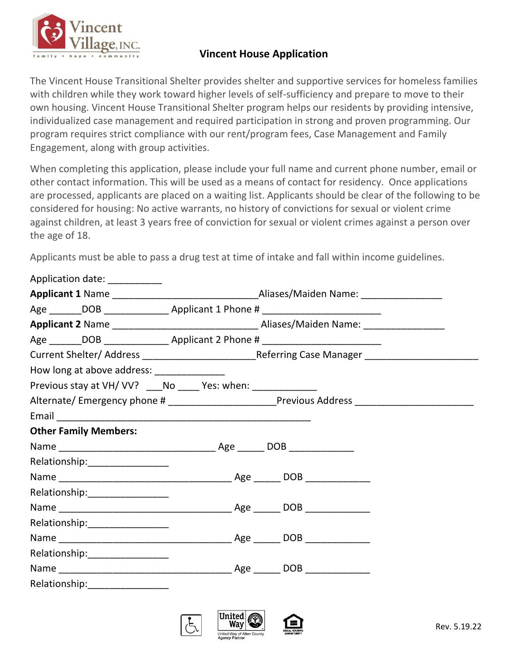

## **Vincent House Application**

The Vincent House Transitional Shelter provides shelter and supportive services for homeless families with children while they work toward higher levels of self-sufficiency and prepare to move to their own housing. Vincent House Transitional Shelter program helps our residents by providing intensive, individualized case management and required participation in strong and proven programming. Our program requires strict compliance with our rent/program fees, Case Management and Family Engagement, along with group activities.

When completing this application, please include your full name and current phone number, email or other contact information. This will be used as a means of contact for residency. Once applications are processed, applicants are placed on a waiting list. Applicants should be clear of the following to be considered for housing: No active warrants, no history of convictions for sexual or violent crime against children, at least 3 years free of conviction for sexual or violent crimes against a person over the age of 18.

Applicants must be able to pass a drug test at time of intake and fall within income guidelines.

| Application date: __________                                                     |  |  |
|----------------------------------------------------------------------------------|--|--|
|                                                                                  |  |  |
|                                                                                  |  |  |
|                                                                                  |  |  |
| Age _______DOB _________________________Applicant 2 Phone # ____________________ |  |  |
|                                                                                  |  |  |
| How long at above address: _______________                                       |  |  |
| Previous stay at VH/VV? ____ No ______ Yes: when: ______________                 |  |  |
|                                                                                  |  |  |
|                                                                                  |  |  |
| <b>Other Family Members:</b>                                                     |  |  |
|                                                                                  |  |  |
| Relationship:___________________                                                 |  |  |
|                                                                                  |  |  |
| Relationship: _________________                                                  |  |  |
|                                                                                  |  |  |
|                                                                                  |  |  |
|                                                                                  |  |  |
| Relationship:__________________                                                  |  |  |
|                                                                                  |  |  |
| Relationship:_________________                                                   |  |  |
|                                                                                  |  |  |

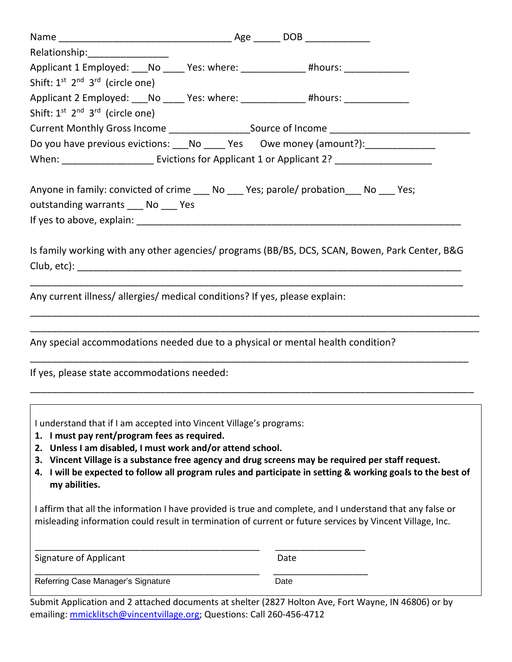| Relationship: 2000                                                                                                                                                                                                                                                                                                                                                                                                        |  |      |  |  |
|---------------------------------------------------------------------------------------------------------------------------------------------------------------------------------------------------------------------------------------------------------------------------------------------------------------------------------------------------------------------------------------------------------------------------|--|------|--|--|
| Applicant 1 Employed: ___No _____ Yes: where: _____________ #hours: ____________                                                                                                                                                                                                                                                                                                                                          |  |      |  |  |
| Shift: $1^{st}$ $2^{nd}$ $3^{rd}$ (circle one)                                                                                                                                                                                                                                                                                                                                                                            |  |      |  |  |
| Applicant 2 Employed: ___No _____ Yes: where: _____________ #hours: ____________                                                                                                                                                                                                                                                                                                                                          |  |      |  |  |
| Shift: $1^{st}$ $2^{nd}$ $3^{rd}$ (circle one)                                                                                                                                                                                                                                                                                                                                                                            |  |      |  |  |
| Current Monthly Gross Income ____________________Source of Income _______________                                                                                                                                                                                                                                                                                                                                         |  |      |  |  |
| Do you have previous evictions: No ______ Yes Owe money (amount?): _____________                                                                                                                                                                                                                                                                                                                                          |  |      |  |  |
|                                                                                                                                                                                                                                                                                                                                                                                                                           |  |      |  |  |
| Anyone in family: convicted of crime _____ No ______ Yes; parole/ probation ______ No _____ Yes;<br>outstanding warrants No Yes                                                                                                                                                                                                                                                                                           |  |      |  |  |
| Is family working with any other agencies/ programs (BB/BS, DCS, SCAN, Bowen, Park Center, B&G                                                                                                                                                                                                                                                                                                                            |  |      |  |  |
| Any current illness/ allergies/ medical conditions? If yes, please explain:                                                                                                                                                                                                                                                                                                                                               |  |      |  |  |
| Any special accommodations needed due to a physical or mental health condition?                                                                                                                                                                                                                                                                                                                                           |  |      |  |  |
| If yes, please state accommodations needed:                                                                                                                                                                                                                                                                                                                                                                               |  |      |  |  |
| I understand that if I am accepted into Vincent Village's programs:<br>1. I must pay rent/program fees as required.<br>Unless I am disabled, I must work and/or attend school.<br>2.<br>3. Vincent Village is a substance free agency and drug screens may be required per staff request.<br>4. I will be expected to follow all program rules and participate in setting & working goals to the best of<br>my abilities. |  |      |  |  |
| I affirm that all the information I have provided is true and complete, and I understand that any false or<br>misleading information could result in termination of current or future services by Vincent Village, Inc.                                                                                                                                                                                                   |  |      |  |  |
| Signature of Applicant                                                                                                                                                                                                                                                                                                                                                                                                    |  | Date |  |  |

Referring Case Manager's Signature **Date of Case Case Case Case Case** 

\_\_\_\_\_\_\_\_\_\_\_\_\_\_\_\_\_\_\_\_\_\_\_\_\_\_\_\_\_\_\_\_\_\_\_\_\_\_\_\_\_\_\_\_\_ \_\_\_\_\_\_\_\_\_\_\_\_\_\_\_\_\_\_\_

Submit Application and 2 attached documents at shelter (2827 Holton Ave, Fort Wayne, IN 46806) or by emailing: [mmicklitsch@vincentvillage.org;](mailto:mmicklitsch@vincentvillage.org) Questions: Call 260-456-4712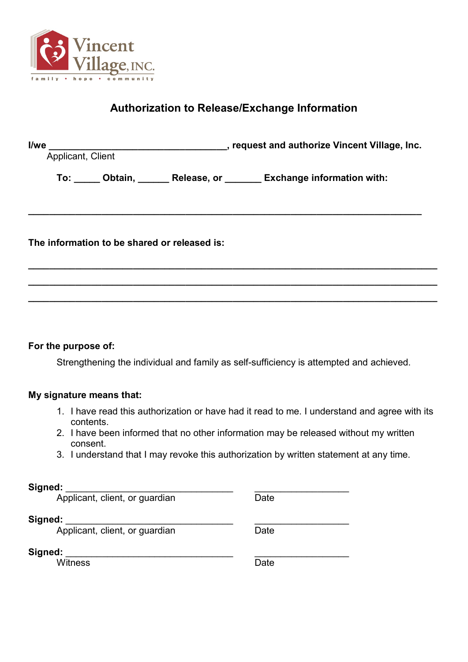

## **Authorization to Release/Exchange Information**

| l/we<br>Applicant, Client                                                  | s request and authorize Vincent Village, Inc. |  |  |  |  |
|----------------------------------------------------------------------------|-----------------------------------------------|--|--|--|--|
| To: ______ Obtain, _______ Release, or ________ Exchange information with: |                                               |  |  |  |  |
|                                                                            |                                               |  |  |  |  |
| The information to be shared or released is:                               |                                               |  |  |  |  |
|                                                                            |                                               |  |  |  |  |

## **For the purpose of:**

Strengthening the individual and family as self-sufficiency is attempted and achieved.

**\_\_\_\_\_\_\_\_\_\_\_\_\_\_\_\_\_\_\_\_\_\_\_\_\_\_\_\_\_\_\_\_\_\_\_\_\_\_\_\_\_\_\_\_\_\_\_\_\_\_\_\_\_\_\_\_\_\_\_\_\_\_\_\_\_\_\_\_\_\_\_\_\_\_\_\_\_\_**

## **My signature means that:**

- 1. I have read this authorization or have had it read to me. I understand and agree with its contents.
- 2. I have been informed that no other information may be released without my written consent.
- 3. I understand that I may revoke this authorization by written statement at any time.

| Signed:                                   |      |
|-------------------------------------------|------|
| Applicant, client, or guardian            | Date |
| Signed:<br>Applicant, client, or guardian | Date |
| Signed:<br>Witness                        | Date |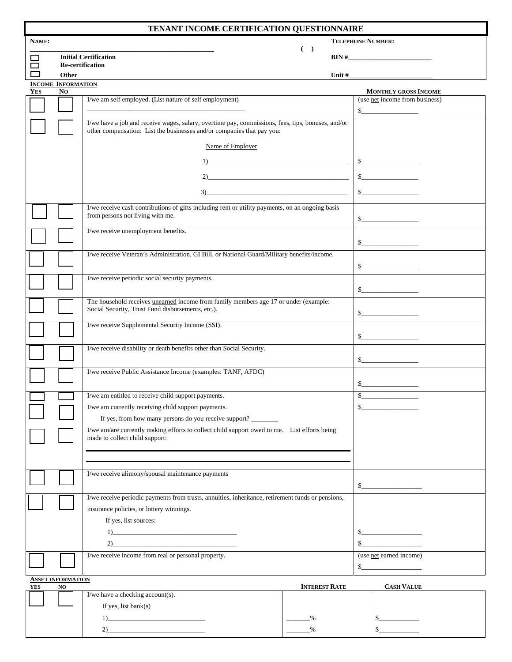| TENANT INCOME CERTIFICATION QUESTIONNAIRE |                                                                                                                                                                                                                                                                                                                                                                                                                                                                                                                                                                           |                                                                                                                                      |       |                                                                                          |
|-------------------------------------------|---------------------------------------------------------------------------------------------------------------------------------------------------------------------------------------------------------------------------------------------------------------------------------------------------------------------------------------------------------------------------------------------------------------------------------------------------------------------------------------------------------------------------------------------------------------------------|--------------------------------------------------------------------------------------------------------------------------------------|-------|------------------------------------------------------------------------------------------|
| NAME:                                     | <b>TELEPHONE NUMBER:</b>                                                                                                                                                                                                                                                                                                                                                                                                                                                                                                                                                  |                                                                                                                                      |       |                                                                                          |
| ᄀ                                         |                                                                                                                                                                                                                                                                                                                                                                                                                                                                                                                                                                           | <b>Initial Certification</b>                                                                                                         | $($ ) | $\mathbf{BIN} \#$                                                                        |
| □                                         | <b>Re-certification</b>                                                                                                                                                                                                                                                                                                                                                                                                                                                                                                                                                   |                                                                                                                                      |       |                                                                                          |
|                                           | Other                                                                                                                                                                                                                                                                                                                                                                                                                                                                                                                                                                     |                                                                                                                                      |       |                                                                                          |
| <b>YES</b>                                | <b>INCOME INFORMATION</b><br>No<br><b>MONTHLY GROSS INCOME</b>                                                                                                                                                                                                                                                                                                                                                                                                                                                                                                            |                                                                                                                                      |       |                                                                                          |
|                                           |                                                                                                                                                                                                                                                                                                                                                                                                                                                                                                                                                                           | I/we am self employed. (List nature of self employment)                                                                              |       | (use net income from business)                                                           |
|                                           |                                                                                                                                                                                                                                                                                                                                                                                                                                                                                                                                                                           |                                                                                                                                      |       | s                                                                                        |
|                                           | I/we have a job and receive wages, salary, overtime pay, commissions, fees, tips, bonuses, and/or<br>other compensation: List the businesses and/or companies that pay you:                                                                                                                                                                                                                                                                                                                                                                                               |                                                                                                                                      |       |                                                                                          |
|                                           |                                                                                                                                                                                                                                                                                                                                                                                                                                                                                                                                                                           | Name of Employer                                                                                                                     |       |                                                                                          |
|                                           |                                                                                                                                                                                                                                                                                                                                                                                                                                                                                                                                                                           |                                                                                                                                      |       | s                                                                                        |
|                                           |                                                                                                                                                                                                                                                                                                                                                                                                                                                                                                                                                                           | 2)                                                                                                                                   |       | $\sim$                                                                                   |
|                                           |                                                                                                                                                                                                                                                                                                                                                                                                                                                                                                                                                                           | $\begin{tabular}{c} 3) \end{tabular}$                                                                                                |       | $\sim$                                                                                   |
|                                           |                                                                                                                                                                                                                                                                                                                                                                                                                                                                                                                                                                           |                                                                                                                                      |       |                                                                                          |
|                                           |                                                                                                                                                                                                                                                                                                                                                                                                                                                                                                                                                                           | I/we receive cash contributions of gifts including rent or utility payments, on an ongoing basis<br>from persons not living with me. |       | $\sim$                                                                                   |
|                                           |                                                                                                                                                                                                                                                                                                                                                                                                                                                                                                                                                                           | I/we receive unemployment benefits.                                                                                                  |       |                                                                                          |
|                                           |                                                                                                                                                                                                                                                                                                                                                                                                                                                                                                                                                                           |                                                                                                                                      |       | s                                                                                        |
|                                           |                                                                                                                                                                                                                                                                                                                                                                                                                                                                                                                                                                           | I/we receive Veteran's Administration, GI Bill, or National Guard/Military benefits/income.                                          |       | $\sim$                                                                                   |
|                                           |                                                                                                                                                                                                                                                                                                                                                                                                                                                                                                                                                                           | I/we receive periodic social security payments.                                                                                      |       |                                                                                          |
|                                           |                                                                                                                                                                                                                                                                                                                                                                                                                                                                                                                                                                           |                                                                                                                                      |       | $\sim$                                                                                   |
|                                           |                                                                                                                                                                                                                                                                                                                                                                                                                                                                                                                                                                           | The household receives unearned income from family members age 17 or under (example:                                                 |       |                                                                                          |
|                                           |                                                                                                                                                                                                                                                                                                                                                                                                                                                                                                                                                                           | Social Security, Trust Fund disbursements, etc.).                                                                                    |       | s                                                                                        |
|                                           |                                                                                                                                                                                                                                                                                                                                                                                                                                                                                                                                                                           | I/we receive Supplemental Security Income (SSI).                                                                                     |       |                                                                                          |
|                                           |                                                                                                                                                                                                                                                                                                                                                                                                                                                                                                                                                                           |                                                                                                                                      |       | $\sim$                                                                                   |
|                                           |                                                                                                                                                                                                                                                                                                                                                                                                                                                                                                                                                                           | I/we receive disability or death benefits other than Social Security.                                                                |       |                                                                                          |
|                                           |                                                                                                                                                                                                                                                                                                                                                                                                                                                                                                                                                                           |                                                                                                                                      |       | $\begin{array}{c c} \n\multicolumn{3}{c }{\textbf{\textcolor{red}{\bf S}}}\n\end{array}$ |
|                                           |                                                                                                                                                                                                                                                                                                                                                                                                                                                                                                                                                                           | I/we receive Public Assistance Income (examples: TANF, AFDC)                                                                         |       | $\sim$                                                                                   |
|                                           |                                                                                                                                                                                                                                                                                                                                                                                                                                                                                                                                                                           | I/we am entitled to receive child support payments.                                                                                  | \$    |                                                                                          |
|                                           |                                                                                                                                                                                                                                                                                                                                                                                                                                                                                                                                                                           | I/we am currently receiving child support payments.                                                                                  | \$    |                                                                                          |
|                                           |                                                                                                                                                                                                                                                                                                                                                                                                                                                                                                                                                                           | If yes, from how many persons do you receive support?                                                                                |       |                                                                                          |
|                                           |                                                                                                                                                                                                                                                                                                                                                                                                                                                                                                                                                                           | I/we am/are currently making efforts to collect child support owed to me. List efforts being                                         |       |                                                                                          |
|                                           |                                                                                                                                                                                                                                                                                                                                                                                                                                                                                                                                                                           | made to collect child support:                                                                                                       |       |                                                                                          |
|                                           |                                                                                                                                                                                                                                                                                                                                                                                                                                                                                                                                                                           |                                                                                                                                      |       |                                                                                          |
|                                           |                                                                                                                                                                                                                                                                                                                                                                                                                                                                                                                                                                           |                                                                                                                                      |       |                                                                                          |
|                                           |                                                                                                                                                                                                                                                                                                                                                                                                                                                                                                                                                                           | I/we receive alimony/spousal maintenance payments                                                                                    |       | $\sim$                                                                                   |
|                                           | I/we receive periodic payments from trusts, annuities, inheritance, retirement funds or pensions,                                                                                                                                                                                                                                                                                                                                                                                                                                                                         |                                                                                                                                      |       |                                                                                          |
|                                           | insurance policies, or lottery winnings.                                                                                                                                                                                                                                                                                                                                                                                                                                                                                                                                  |                                                                                                                                      |       |                                                                                          |
|                                           | If yes, list sources:                                                                                                                                                                                                                                                                                                                                                                                                                                                                                                                                                     |                                                                                                                                      |       |                                                                                          |
|                                           | $\begin{tabular}{ c c c c } \hline $1$ & \quad \quad & \quad \quad & \quad \quad & \quad \quad \\ \hline $1$ & \quad \quad & \quad \quad & \quad \quad & \quad \quad \\ \hline $1$ & \quad \quad & \quad \quad & \quad \quad & \quad \quad \\ \hline $1$ & \quad \quad & \quad \quad & \quad \quad & \quad \quad \\ \hline $1$ & \quad \quad & \quad \quad & \quad \quad & \quad \quad \\ \hline $1$ & \quad \quad & \quad \quad & \quad \quad & \quad \quad \\ \hline $1$ & \quad \quad & \quad \quad & \quad \quad & \quad \quad \\ \hline $1$ & \quad \quad & \quad \$ |                                                                                                                                      |       | $\sim$                                                                                   |
|                                           |                                                                                                                                                                                                                                                                                                                                                                                                                                                                                                                                                                           | 2)                                                                                                                                   |       | \$                                                                                       |
|                                           |                                                                                                                                                                                                                                                                                                                                                                                                                                                                                                                                                                           | I/we receive income from real or personal property.                                                                                  |       | (use net earned income)                                                                  |
|                                           | $S_{-}$                                                                                                                                                                                                                                                                                                                                                                                                                                                                                                                                                                   |                                                                                                                                      |       |                                                                                          |
| YES                                       | <b>ASSET INFORMATION</b><br><b>INTEREST RATE</b><br><b>CASH VALUE</b><br>NO                                                                                                                                                                                                                                                                                                                                                                                                                                                                                               |                                                                                                                                      |       |                                                                                          |
|                                           |                                                                                                                                                                                                                                                                                                                                                                                                                                                                                                                                                                           | I/we have a checking account(s).                                                                                                     |       |                                                                                          |
|                                           |                                                                                                                                                                                                                                                                                                                                                                                                                                                                                                                                                                           | If yes, list $\text{bank}(s)$                                                                                                        |       |                                                                                          |

| $\sim$ |                                     | <b>ENTEREST IVALE</b> | <b>CAUL LADUL</b> |
|--------|-------------------------------------|-----------------------|-------------------|
|        | I/we have a checking $account(s)$ . |                       |                   |
|        | If yes, list bank $(s)$             |                       |                   |
|        |                                     | 0/2                   |                   |
|        |                                     | 0/                    |                   |